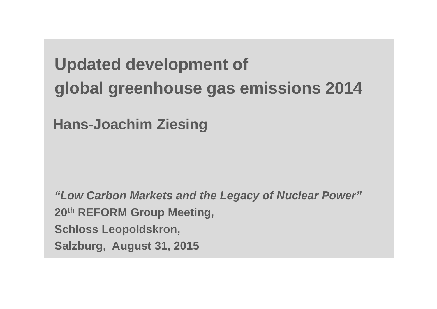# **Updated development of global greenhouse gas emissions 2014**

**Hans-Joachim Ziesing**

*"Low Carbon Markets and the Legacy of Nuclear Power"* **20th REFORM Group Meeting, Schloss Leopoldskron, Salzburg, August 31, 2015**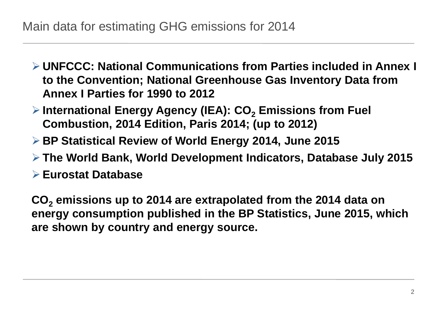- **UNFCCC: National Communications from Parties included in Annex I to the Convention; National Greenhouse Gas Inventory Data from Annex I Parties for 1990 to 2012**
- **▶ International Energy Agency (IEA): CO<sub>2</sub> Emissions from Fuel Combustion, 2014 Edition, Paris 2014; (up to 2012)**
- **BP Statistical Review of World Energy 2014, June 2015**
- **The World Bank, World Development Indicators, Database July 2015**
- **Eurostat Database**

**CO2 emissions up to 2014 are extrapolated from the 2014 data on energy consumption published in the BP Statistics, June 2015, which are shown by country and energy source.**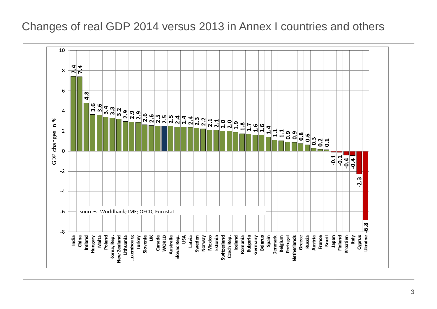#### Changes of real GDP 2014 versus 2013 in Annex I countries and others

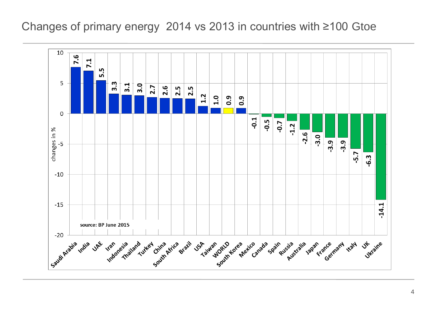#### Changes of primary energy 2014 vs 2013 in countries with ≥100 Gtoe

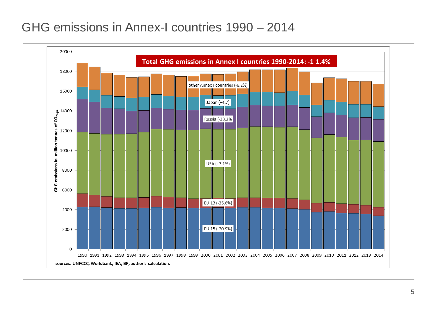# GHG emissions in Annex-I countries 1990 – 2014

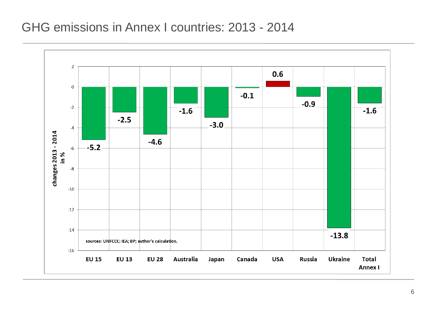## GHG emissions in Annex I countries: 2013 - 2014

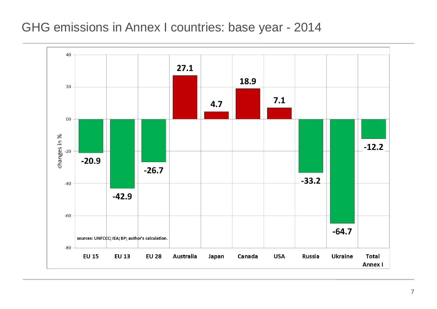#### GHG emissions in Annex I countries: base year - 2014

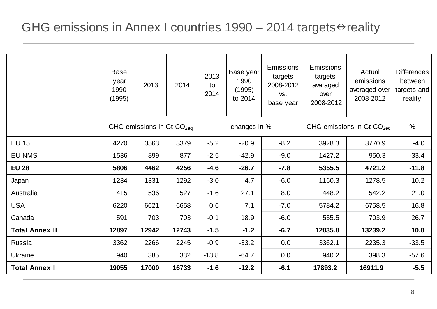# GHG emissions in Annex I countries  $1990 - 2014$  targets $\Leftrightarrow$  reality

|                       | <b>Base</b><br>year<br>1990<br>(1995) | 2013  | 2014  | 2013<br>to<br>2014 | Base year<br>1990<br>(1995)<br>to 2014 | <b>Emissions</b><br>targets<br>2008-2012<br>VS.<br>base year | <b>Emissions</b><br>targets<br>avaraged<br>over<br>2008-2012 | Actual<br>emissions<br>averaged over<br>2008-2012 | <b>Differences</b><br>between<br>targets and<br>reality |
|-----------------------|---------------------------------------|-------|-------|--------------------|----------------------------------------|--------------------------------------------------------------|--------------------------------------------------------------|---------------------------------------------------|---------------------------------------------------------|
|                       | GHG emissions in Gt $CO2ea$           |       |       | changes in %       |                                        |                                                              | GHG emissions in Gt $CO2ea$                                  |                                                   | $\%$                                                    |
| <b>EU 15</b>          | 4270                                  | 3563  | 3379  | $-5.2$             | $-20.9$                                | $-8.2$                                                       | 3928.3                                                       | 3770.9                                            | $-4.0$                                                  |
| <b>EU NMS</b>         | 1536                                  | 899   | 877   | $-2.5$             | $-42.9$                                | $-9.0$                                                       | 1427.2                                                       | 950.3                                             | $-33.4$                                                 |
| <b>EU 28</b>          | 5806                                  | 4462  | 4256  | $-4.6$             | $-26.7$                                | $-7.8$                                                       | 5355.5                                                       | 4721.2                                            | $-11.8$                                                 |
| Japan                 | 1234                                  | 1331  | 1292  | $-3.0$             | 4.7                                    | $-6.0$                                                       | 1160.3                                                       | 1278.5                                            | 10.2                                                    |
| Australia             | 415                                   | 536   | 527   | $-1.6$             | 27.1                                   | 8.0                                                          | 448.2                                                        | 542.2                                             | 21.0                                                    |
| <b>USA</b>            | 6220                                  | 6621  | 6658  | 0.6                | 7.1                                    | $-7.0$                                                       | 5784.2                                                       | 6758.5                                            | 16.8                                                    |
| Canada                | 591                                   | 703   | 703   | $-0.1$             | 18.9                                   | $-6.0$                                                       | 555.5                                                        | 703.9                                             | 26.7                                                    |
| <b>Total Annex II</b> | 12897                                 | 12942 | 12743 | $-1.5$             | $-1.2$                                 | $-6.7$                                                       | 12035.8                                                      | 13239.2                                           | 10.0                                                    |
| Russia                | 3362                                  | 2266  | 2245  | $-0.9$             | $-33.2$                                | 0.0                                                          | 3362.1                                                       | 2235.3                                            | $-33.5$                                                 |
| <b>Ukraine</b>        | 940                                   | 385   | 332   | $-13.8$            | $-64.7$                                | 0.0                                                          | 940.2                                                        | 398.3                                             | $-57.6$                                                 |
| <b>Total Annex I</b>  | 19055                                 | 17000 | 16733 | $-1.6$             | $-12.2$                                | $-6.1$                                                       | 17893.2                                                      | 16911.9                                           | $-5.5$                                                  |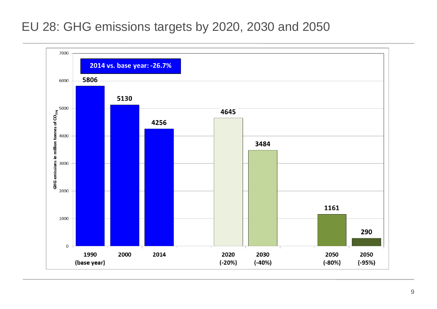# EU 28: GHG emissions targets by 2020, 2030 and 2050

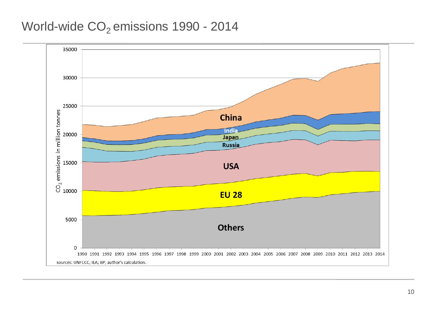## World-wide CO<sub>2</sub> emissions 1990 - 2014

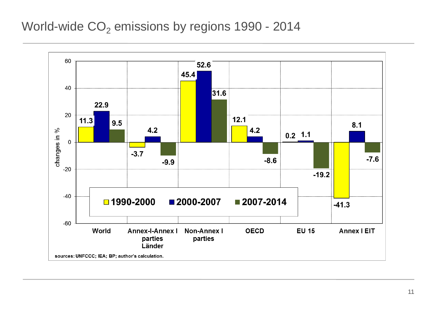## World-wide  $CO<sub>2</sub>$  emissions by regions 1990 - 2014

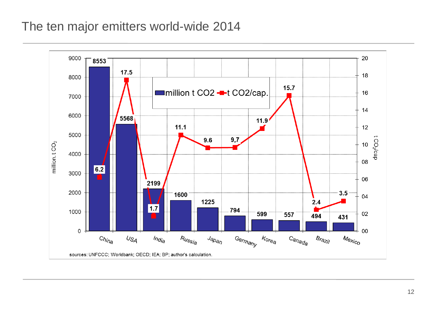# The ten major emitters world-wide 2014

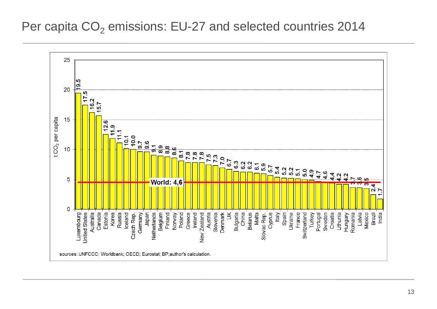#### Per capita  $CO<sub>2</sub>$  emissions: EU-27 and selected countries 2014

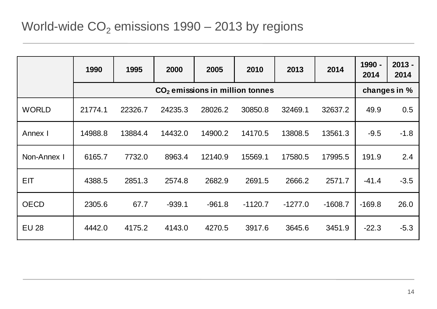|              | 1990    | 1995         | 2000     | 2005     | 2010      | 2013      | 2014      | 1990 -<br>2014 | $2013 -$<br>2014 |
|--------------|---------|--------------|----------|----------|-----------|-----------|-----------|----------------|------------------|
|              |         | changes in % |          |          |           |           |           |                |                  |
| <b>WORLD</b> | 21774.1 | 22326.7      | 24235.3  | 28026.2  | 30850.8   | 32469.1   | 32637.2   | 49.9           | 0.5              |
| Annex I      | 14988.8 | 13884.4      | 14432.0  | 14900.2  | 14170.5   | 13808.5   | 13561.3   | $-9.5$         | $-1.8$           |
| Non-Annex I  | 6165.7  | 7732.0       | 8963.4   | 12140.9  | 15569.1   | 17580.5   | 17995.5   | 191.9          | 2.4              |
| <b>EIT</b>   | 4388.5  | 2851.3       | 2574.8   | 2682.9   | 2691.5    | 2666.2    | 2571.7    | $-41.4$        | $-3.5$           |
| <b>OECD</b>  | 2305.6  | 67.7         | $-939.1$ | $-961.8$ | $-1120.7$ | $-1277.0$ | $-1608.7$ | $-169.8$       | 26.0             |
| <b>EU 28</b> | 4442.0  | 4175.2       | 4143.0   | 4270.5   | 3917.6    | 3645.6    | 3451.9    | $-22.3$        | $-5.3$           |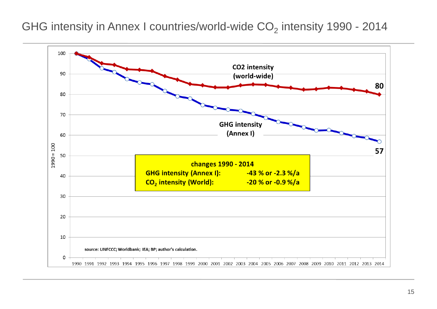GHG intensity in Annex I countries/world-wide  $CO<sub>2</sub>$  intensity 1990 - 2014

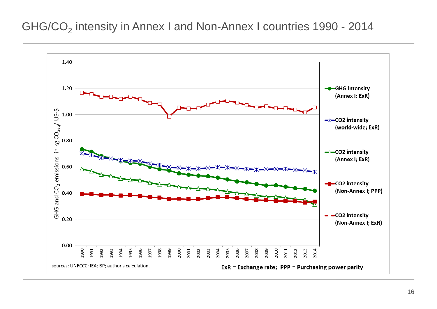#### GHG/CO<sub>2</sub> intensity in Annex I and Non-Annex I countries 1990 - 2014

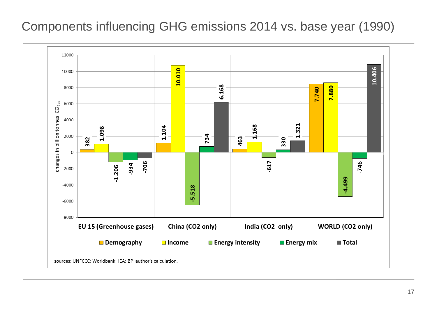# Components influencing GHG emissions 2014 vs. base year (1990)

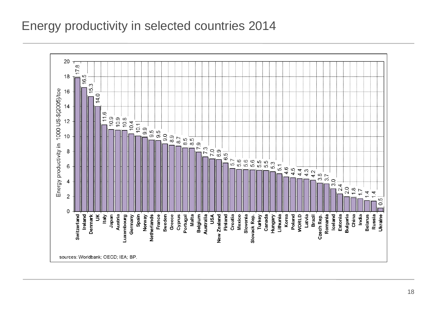# Energy productivity in selected countries 2014

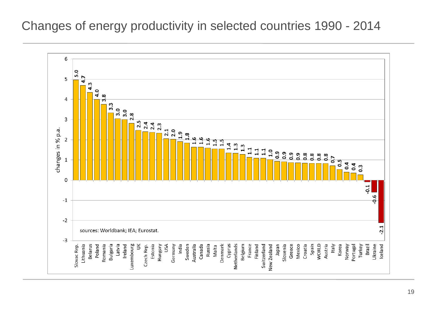## Changes of energy productivity in selected countries 1990 - 2014

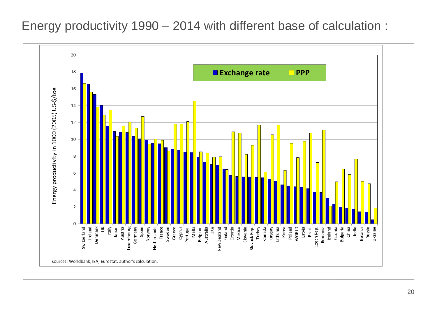Energy productivity 1990 – 2014 with different base of calculation :

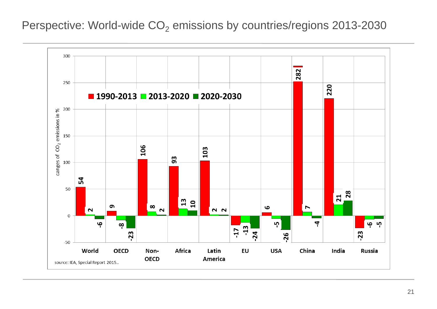Perspective: World-wide CO<sub>2</sub> emissions by countries/regions 2013-2030

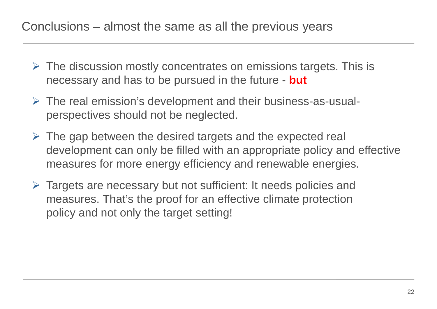# Conclusions – almost the same as all the previous years

- $\triangleright$  The discussion mostly concentrates on emissions targets. This is necessary and has to be pursued in the future - **but**
- $\triangleright$  The real emission's development and their business-as-usualperspectives should not be neglected.
- $\triangleright$  The gap between the desired targets and the expected real development can only be filled with an appropriate policy and effective measures for more energy efficiency and renewable energies.
- $\triangleright$  Targets are necessary but not sufficient: It needs policies and measures. That's the proof for an effective climate protection policy and not only the target setting!